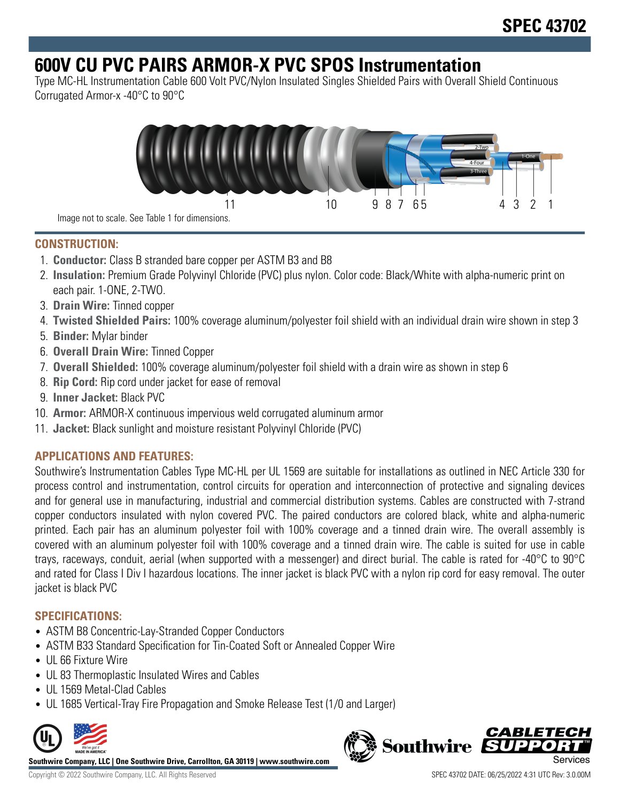# **600V CU PVC PAIRS ARMOR-X PVC SPOS Instrumentation**

Type MC-HL Instrumentation Cable 600 Volt PVC/Nylon Insulated Singles Shielded Pairs with Overall Shield Continuous Corrugated Armor-x -40°C to 90°C



Image not to scale. See Table 1 for dimensions.

## **CONSTRUCTION:**

- 1. **Conductor:** Class B stranded bare copper per ASTM B3 and B8
- 2. **Insulation:** Premium Grade Polyvinyl Chloride (PVC) plus nylon. Color code: Black/White with alpha-numeric print on each pair. 1-ONE, 2-TWO.
- 3. **Drain Wire:** Tinned copper
- 4. **Twisted Shielded Pairs:** 100% coverage aluminum/polyester foil shield with an individual drain wire shown in step 3
- 5. **Binder:** Mylar binder
- 6. **Overall Drain Wire:** Tinned Copper
- 7. **Overall Shielded:** 100% coverage aluminum/polyester foil shield with a drain wire as shown in step 6
- 8. **Rip Cord:** Rip cord under jacket for ease of removal
- 9. **Inner Jacket:** Black PVC
- 10. **Armor:** ARMOR-X continuous impervious weld corrugated aluminum armor
- 11. **Jacket:** Black sunlight and moisture resistant Polyvinyl Chloride (PVC)

## **APPLICATIONS AND FEATURES:**

Southwire's Instrumentation Cables Type MC-HL per UL 1569 are suitable for installations as outlined in NEC Article 330 for process control and instrumentation, control circuits for operation and interconnection of protective and signaling devices and for general use in manufacturing, industrial and commercial distribution systems. Cables are constructed with 7-strand copper conductors insulated with nylon covered PVC. The paired conductors are colored black, white and alpha-numeric printed. Each pair has an aluminum polyester foil with 100% coverage and a tinned drain wire. The overall assembly is covered with an aluminum polyester foil with 100% coverage and a tinned drain wire. The cable is suited for use in cable trays, raceways, conduit, aerial (when supported with a messenger) and direct burial. The cable is rated for -40°C to 90°C and rated for Class I Div I hazardous locations. The inner jacket is black PVC with a nylon rip cord for easy removal. The outer jacket is black PVC

### **SPECIFICATIONS:**

- ASTM B8 Concentric-Lay-Stranded Copper Conductors
- ASTM B33 Standard Specification for Tin-Coated Soft or Annealed Copper Wire
- UL 66 Fixture Wire
- UL 83 Thermoplastic Insulated Wires and Cables
- UL 1569 Metal-Clad Cables
- UL 1685 Vertical-Tray Fire Propagation and Smoke Release Test (1/0 and Larger)



**Southwire Company, LLC | One Southwire Drive, Carrollton, GA 30119 | www.southwire.com**

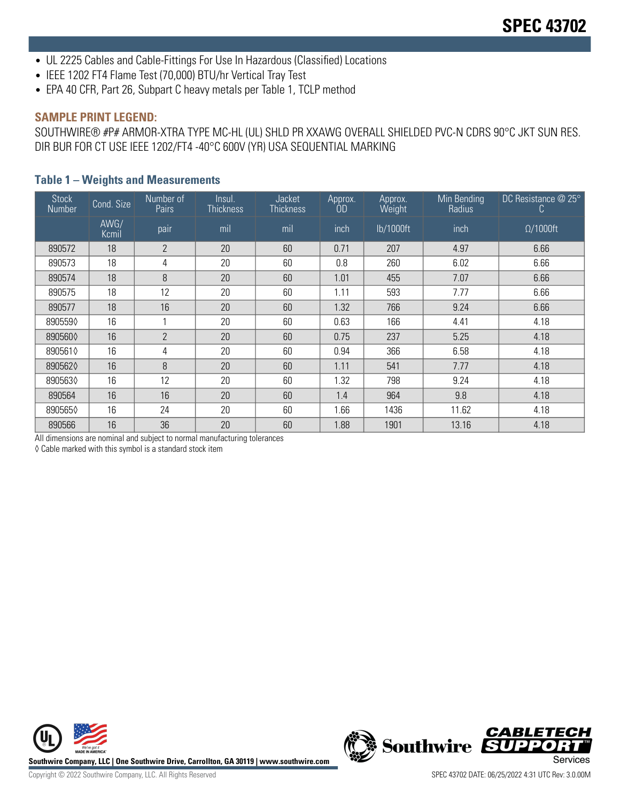- UL 2225 Cables and Cable-Fittings For Use In Hazardous (Classified) Locations
- IEEE 1202 FT4 Flame Test (70,000) BTU/hr Vertical Tray Test
- EPA 40 CFR, Part 26, Subpart C heavy metals per Table 1, TCLP method

#### **SAMPLE PRINT LEGEND:**

SOUTHWIRE® #P# ARMOR-XTRA TYPE MC-HL (UL) SHLD PR XXAWG OVERALL SHIELDED PVC-N CDRS 90°C JKT SUN RES. DIR BUR FOR CT USE IEEE 1202/FT4 -40°C 600V (YR) USA SEQUENTIAL MARKING

#### **Table 1 – Weights and Measurements**

| <b>Stock</b><br>Number | Cond. Size    | Number of<br>Pairs | Insul.<br><b>Thickness</b> | Jacket<br><b>Thickness</b> | Approx.<br>OD | Approx.<br>Weight | Min Bending<br>Radius | DC Resistance @ 25°<br>C. |
|------------------------|---------------|--------------------|----------------------------|----------------------------|---------------|-------------------|-----------------------|---------------------------|
|                        | AWG/<br>Kcmil | pair               | mil                        | mil                        | inch          | lb/1000ft         | inch                  | $\Omega/1000$ ft          |
| 890572                 | 18            | $\mathbf{2}$       | 20                         | 60                         | 0.71          | 207               | 4.97                  | 6.66                      |
| 890573                 | 18            | 4                  | 20                         | 60                         | 0.8           | 260               | 6.02                  | 6.66                      |
| 890574                 | 18            | 8                  | 20                         | 60                         | 1.01          | 455               | 7.07                  | 6.66                      |
| 890575                 | 18            | 12                 | 20                         | 60                         | 1.11          | 593               | 7.77                  | 6.66                      |
| 890577                 | 18            | 16                 | 20                         | 60                         | 1.32          | 766               | 9.24                  | 6.66                      |
| 8905590                | 16            |                    | 20                         | 60                         | 0.63          | 166               | 4.41                  | 4.18                      |
| 8905600                | 16            | $\overline{2}$     | 20                         | 60                         | 0.75          | 237               | 5.25                  | 4.18                      |
| 8905610                | 16            | 4                  | 20                         | 60                         | 0.94          | 366               | 6.58                  | 4.18                      |
| 8905620                | 16            | 8                  | 20                         | 60                         | 1.11          | 541               | 7.77                  | 4.18                      |
| 8905630                | 16            | 12                 | 20                         | 60                         | 1.32          | 798               | 9.24                  | 4.18                      |
| 890564                 | 16            | 16                 | 20                         | 60                         | 1.4           | 964               | 9.8                   | 4.18                      |
| 8905650                | 16            | 24                 | 20                         | 60                         | 1.66          | 1436              | 11.62                 | 4.18                      |
| 890566                 | 16            | 36                 | 20                         | 60                         | 1.88          | 1901              | 13.16                 | 4.18                      |

All dimensions are nominal and subject to normal manufacturing tolerances

◊ Cable marked with this symbol is a standard stock item